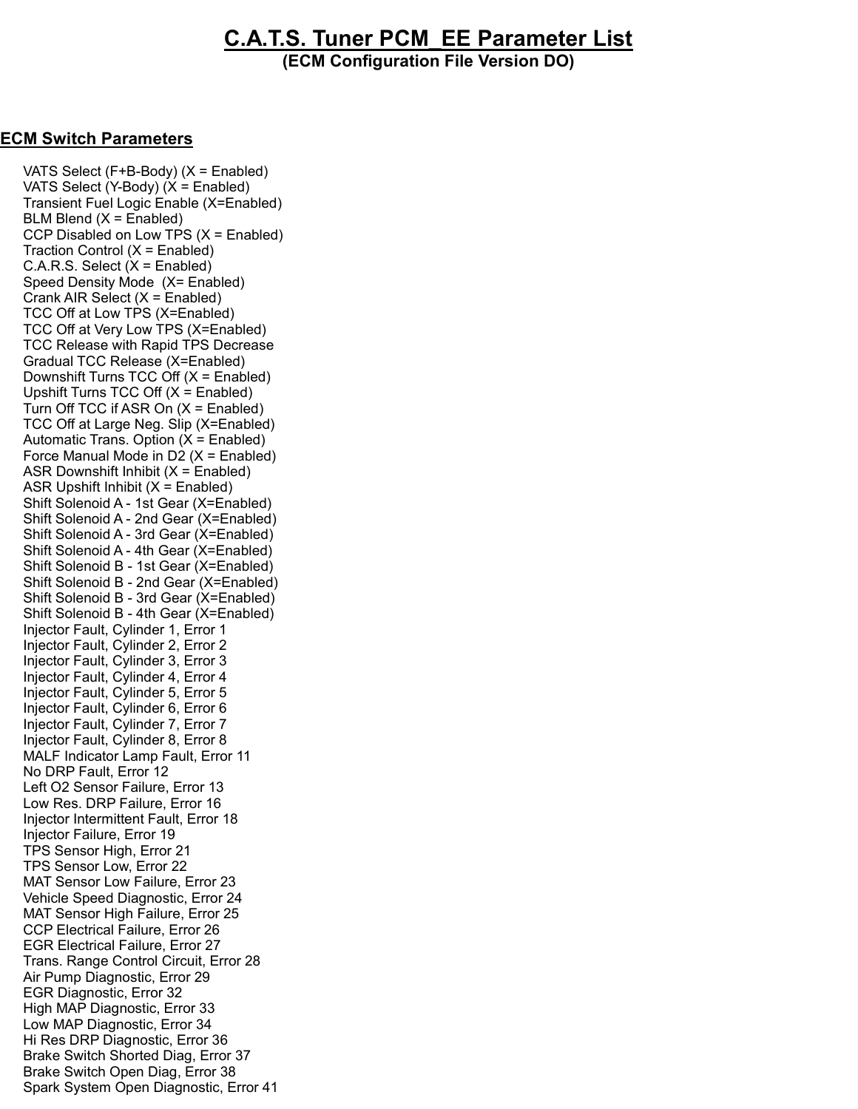## C.A.T.S. Tuner PCM\_EE Parameter List

(ECM Configuration File Version DO)

## ECM Switch Parameters

 VATS Select (F+B-Body) (X = Enabled) VATS Select (Y-Body) (X = Enabled) Transient Fuel Logic Enable (X=Enabled)  $BLM$  Blend  $(X =$  Enabled) CCP Disabled on Low TPS (X = Enabled) Traction Control (X = Enabled)  $C.A.R.S. Select (X = Enabled)$  Speed Density Mode (X= Enabled) Crank AIR Select (X = Enabled) TCC Off at Low TPS (X=Enabled) TCC Off at Very Low TPS (X=Enabled) TCC Release with Rapid TPS Decrease Gradual TCC Release (X=Enabled) Downshift Turns TCC Off (X = Enabled) Upshift Turns TCC Off  $(X =$  Enabled) Turn Off TCC if ASR On (X = Enabled) TCC Off at Large Neg. Slip (X=Enabled) Automatic Trans. Option (X = Enabled) Force Manual Mode in D2  $(X =$  Enabled) ASR Downshift Inhibit  $(X =$  Enabled) ASR Upshift Inhibit  $(X =$  Enabled) Shift Solenoid A - 1st Gear (X=Enabled) Shift Solenoid A - 2nd Gear (X=Enabled) Shift Solenoid A - 3rd Gear (X=Enabled) Shift Solenoid A - 4th Gear (X=Enabled) Shift Solenoid B - 1st Gear (X=Enabled) Shift Solenoid B - 2nd Gear (X=Enabled) Shift Solenoid B - 3rd Gear (X=Enabled) Shift Solenoid B - 4th Gear (X=Enabled) Injector Fault, Cylinder 1, Error 1 Injector Fault, Cylinder 2, Error 2 Injector Fault, Cylinder 3, Error 3 Injector Fault, Cylinder 4, Error 4 Injector Fault, Cylinder 5, Error 5 Injector Fault, Cylinder 6, Error 6 Injector Fault, Cylinder 7, Error 7 Injector Fault, Cylinder 8, Error 8 MALF Indicator Lamp Fault, Error 11 No DRP Fault, Error 12 Left O2 Sensor Failure, Error 13 Low Res. DRP Failure, Error 16 Injector Intermittent Fault, Error 18 Injector Failure, Error 19 TPS Sensor High, Error 21 TPS Sensor Low, Error 22 MAT Sensor Low Failure, Error 23 Vehicle Speed Diagnostic, Error 24 MAT Sensor High Failure, Error 25 CCP Electrical Failure, Error 26 EGR Electrical Failure, Error 27 Trans. Range Control Circuit, Error 28 Air Pump Diagnostic, Error 29 EGR Diagnostic, Error 32 High MAP Diagnostic, Error 33 Low MAP Diagnostic, Error 34 Hi Res DRP Diagnostic, Error 36 Brake Switch Shorted Diag, Error 37 Brake Switch Open Diag, Error 38 Spark System Open Diagnostic, Error 41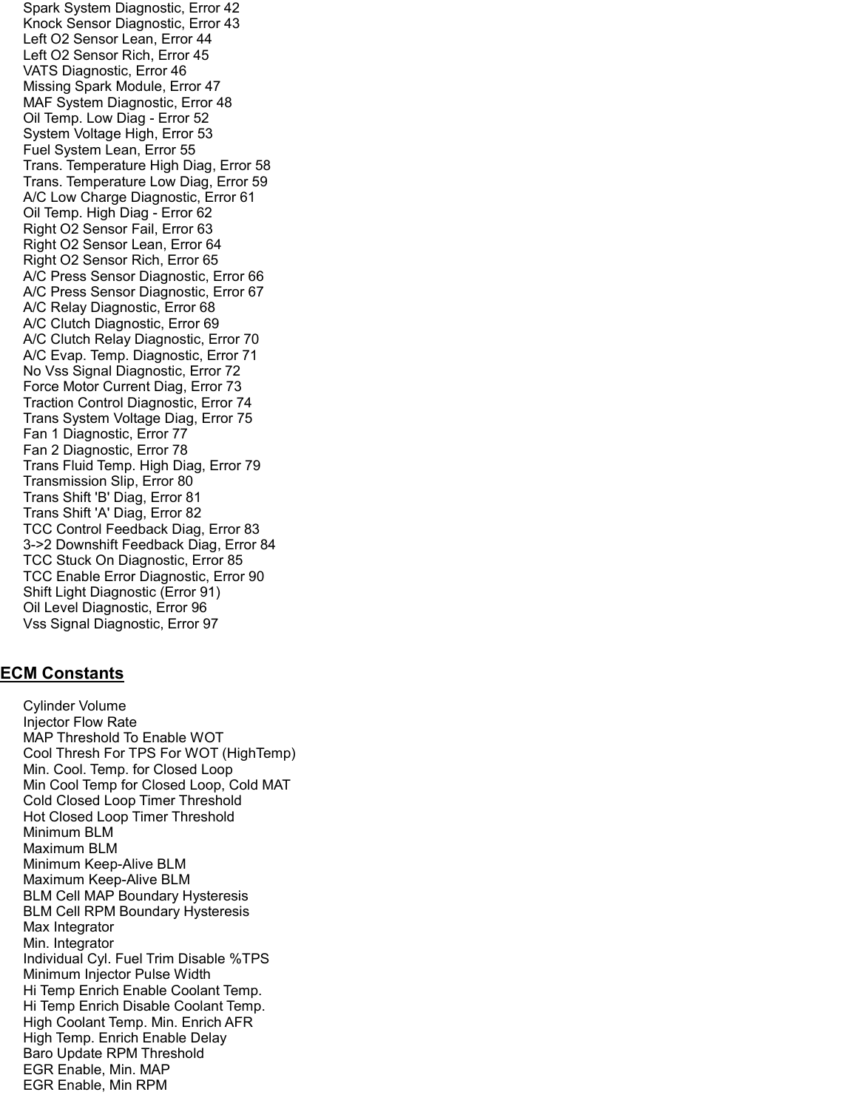Spark System Diagnostic, Error 42 Knock Sensor Diagnostic, Error 43 Left O2 Sensor Lean, Error 44 Left O2 Sensor Rich, Error 45 VATS Diagnostic, Error 46 Missing Spark Module, Error 47 MAF System Diagnostic, Error 48 Oil Temp. Low Diag - Error 52 System Voltage High, Error 53 Fuel System Lean, Error 55 Trans. Temperature High Diag, Error 58 Trans. Temperature Low Diag, Error 59 A/C Low Charge Diagnostic, Error 61 Oil Temp. High Diag - Error 62 Right O2 Sensor Fail, Error 63 Right O2 Sensor Lean, Error 64 Right O2 Sensor Rich, Error 65 A/C Press Sensor Diagnostic, Error 66 A/C Press Sensor Diagnostic, Error 67 A/C Relay Diagnostic, Error 68 A/C Clutch Diagnostic, Error 69 A/C Clutch Relay Diagnostic, Error 70 A/C Evap. Temp. Diagnostic, Error 71 No Vss Signal Diagnostic, Error 72 Force Motor Current Diag, Error 73 Traction Control Diagnostic, Error 74 Trans System Voltage Diag, Error 75 Fan 1 Diagnostic, Error 77 Fan 2 Diagnostic, Error 78 Trans Fluid Temp. High Diag, Error 79 Transmission Slip, Error 80 Trans Shift 'B' Diag, Error 81 Trans Shift 'A' Diag, Error 82 TCC Control Feedback Diag, Error 83 3->2 Downshift Feedback Diag, Error 84 TCC Stuck On Diagnostic, Error 85 TCC Enable Error Diagnostic, Error 90 Shift Light Diagnostic (Error 91) Oil Level Diagnostic, Error 96 Vss Signal Diagnostic, Error 97

## ECM Constants

 Cylinder Volume Injector Flow Rate MAP Threshold To Enable WOT Cool Thresh For TPS For WOT (HighTemp) Min. Cool. Temp. for Closed Loop Min Cool Temp for Closed Loop, Cold MAT Cold Closed Loop Timer Threshold Hot Closed Loop Timer Threshold Minimum BLM Maximum BLM Minimum Keep-Alive BLM Maximum Keep-Alive BLM BLM Cell MAP Boundary Hysteresis BLM Cell RPM Boundary Hysteresis Max Integrator Min. Integrator Individual Cyl. Fuel Trim Disable %TPS Minimum Injector Pulse Width Hi Temp Enrich Enable Coolant Temp. Hi Temp Enrich Disable Coolant Temp. High Coolant Temp. Min. Enrich AFR High Temp. Enrich Enable Delay Baro Update RPM Threshold EGR Enable, Min. MAP EGR Enable, Min RPM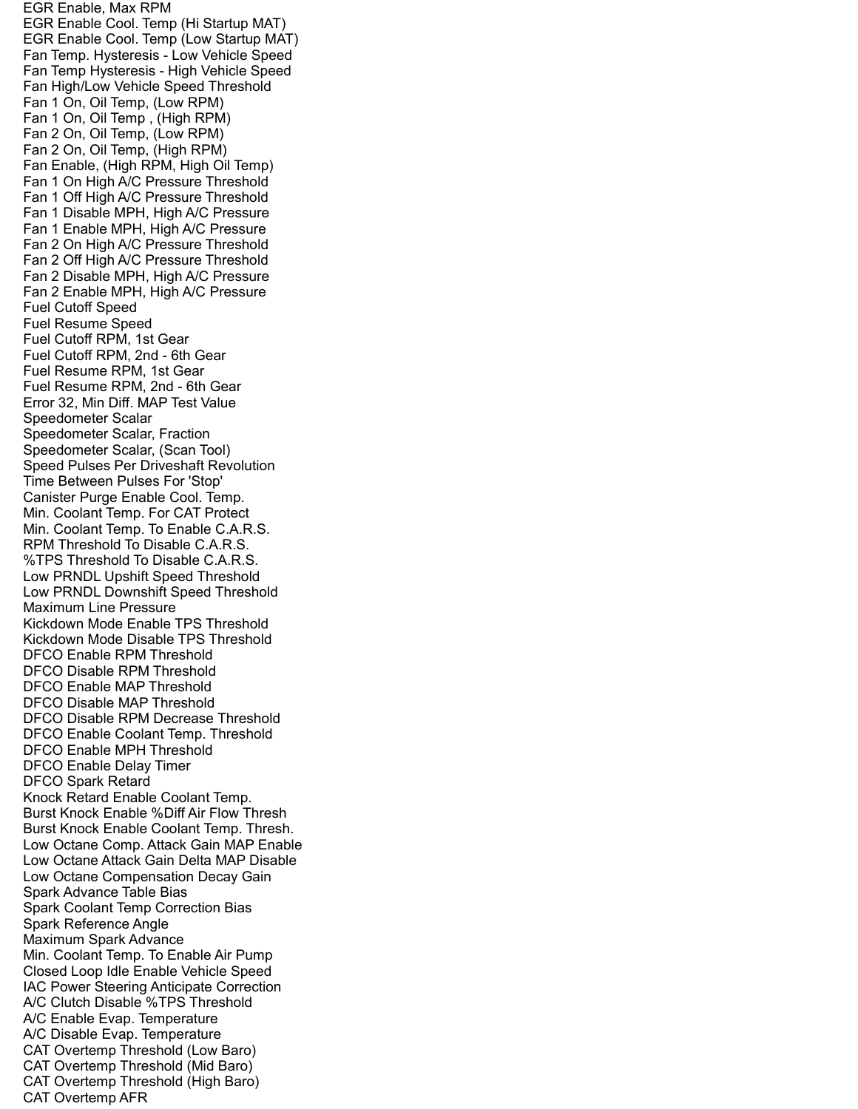EGR Enable, Max RPM EGR Enable Cool. Temp (Hi Startup MAT) EGR Enable Cool. Temp (Low Startup MAT) Fan Temp. Hysteresis - Low Vehicle Speed Fan Temp Hysteresis - High Vehicle Speed Fan High/Low Vehicle Speed Threshold Fan 1 On, Oil Temp, (Low RPM) Fan 1 On, Oil Temp , (High RPM) Fan 2 On, Oil Temp, (Low RPM) Fan 2 On, Oil Temp, (High RPM) Fan Enable, (High RPM, High Oil Temp) Fan 1 On High A/C Pressure Threshold Fan 1 Off High A/C Pressure Threshold Fan 1 Disable MPH, High A/C Pressure Fan 1 Enable MPH, High A/C Pressure Fan 2 On High A/C Pressure Threshold Fan 2 Off High A/C Pressure Threshold Fan 2 Disable MPH, High A/C Pressure Fan 2 Enable MPH, High A/C Pressure Fuel Cutoff Speed Fuel Resume Speed Fuel Cutoff RPM, 1st Gear Fuel Cutoff RPM, 2nd - 6th Gear Fuel Resume RPM, 1st Gear Fuel Resume RPM, 2nd - 6th Gear Error 32, Min Diff. MAP Test Value Speedometer Scalar Speedometer Scalar, Fraction Speedometer Scalar, (Scan Tool) Speed Pulses Per Driveshaft Revolution Time Between Pulses For 'Stop' Canister Purge Enable Cool. Temp. Min. Coolant Temp. For CAT Protect Min. Coolant Temp. To Enable C.A.R.S. RPM Threshold To Disable C.A.R.S. %TPS Threshold To Disable C.A.R.S. Low PRNDL Upshift Speed Threshold Low PRNDL Downshift Speed Threshold Maximum Line Pressure Kickdown Mode Enable TPS Threshold Kickdown Mode Disable TPS Threshold DFCO Enable RPM Threshold DFCO Disable RPM Threshold DFCO Enable MAP Threshold DFCO Disable MAP Threshold DFCO Disable RPM Decrease Threshold DFCO Enable Coolant Temp. Threshold DFCO Enable MPH Threshold DFCO Enable Delay Timer DFCO Spark Retard Knock Retard Enable Coolant Temp. Burst Knock Enable %Diff Air Flow Thresh Burst Knock Enable Coolant Temp. Thresh. Low Octane Comp. Attack Gain MAP Enable Low Octane Attack Gain Delta MAP Disable Low Octane Compensation Decay Gain Spark Advance Table Bias Spark Coolant Temp Correction Bias Spark Reference Angle Maximum Spark Advance Min. Coolant Temp. To Enable Air Pump Closed Loop Idle Enable Vehicle Speed IAC Power Steering Anticipate Correction A/C Clutch Disable %TPS Threshold A/C Enable Evap. Temperature A/C Disable Evap. Temperature CAT Overtemp Threshold (Low Baro) CAT Overtemp Threshold (Mid Baro) CAT Overtemp Threshold (High Baro) CAT Overtemp AFR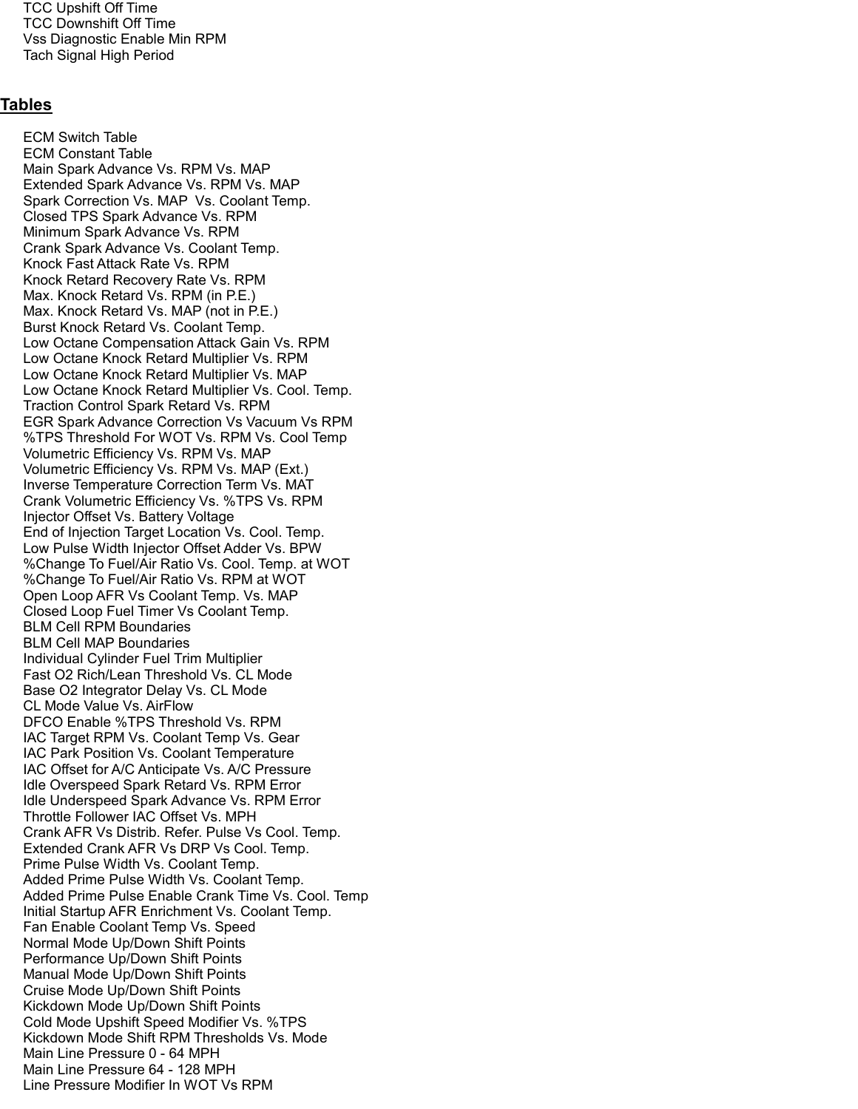TCC Upshift Off Time TCC Downshift Off Time Vss Diagnostic Enable Min RPM Tach Signal High Period

## Tables

 ECM Switch Table ECM Constant Table Main Spark Advance Vs. RPM Vs. MAP Extended Spark Advance Vs. RPM Vs. MAP Spark Correction Vs. MAP Vs. Coolant Temp. Closed TPS Spark Advance Vs. RPM Minimum Spark Advance Vs. RPM Crank Spark Advance Vs. Coolant Temp. Knock Fast Attack Rate Vs. RPM Knock Retard Recovery Rate Vs. RPM Max. Knock Retard Vs. RPM (in P.E.) Max. Knock Retard Vs. MAP (not in P.E.) Burst Knock Retard Vs. Coolant Temp. Low Octane Compensation Attack Gain Vs. RPM Low Octane Knock Retard Multiplier Vs. RPM Low Octane Knock Retard Multiplier Vs. MAP Low Octane Knock Retard Multiplier Vs. Cool. Temp. Traction Control Spark Retard Vs. RPM EGR Spark Advance Correction Vs Vacuum Vs RPM %TPS Threshold For WOT Vs. RPM Vs. Cool Temp Volumetric Efficiency Vs. RPM Vs. MAP Volumetric Efficiency Vs. RPM Vs. MAP (Ext.) Inverse Temperature Correction Term Vs. MAT Crank Volumetric Efficiency Vs. %TPS Vs. RPM Injector Offset Vs. Battery Voltage End of Injection Target Location Vs. Cool. Temp. Low Pulse Width Injector Offset Adder Vs. BPW %Change To Fuel/Air Ratio Vs. Cool. Temp. at WOT %Change To Fuel/Air Ratio Vs. RPM at WOT Open Loop AFR Vs Coolant Temp. Vs. MAP Closed Loop Fuel Timer Vs Coolant Temp. BLM Cell RPM Boundaries BLM Cell MAP Boundaries Individual Cylinder Fuel Trim Multiplier Fast O2 Rich/Lean Threshold Vs. CL Mode Base O2 Integrator Delay Vs. CL Mode CL Mode Value Vs. AirFlow DFCO Enable %TPS Threshold Vs. RPM IAC Target RPM Vs. Coolant Temp Vs. Gear IAC Park Position Vs. Coolant Temperature IAC Offset for A/C Anticipate Vs. A/C Pressure Idle Overspeed Spark Retard Vs. RPM Error Idle Underspeed Spark Advance Vs. RPM Error Throttle Follower IAC Offset Vs. MPH Crank AFR Vs Distrib. Refer. Pulse Vs Cool. Temp. Extended Crank AFR Vs DRP Vs Cool. Temp. Prime Pulse Width Vs. Coolant Temp. Added Prime Pulse Width Vs. Coolant Temp. Added Prime Pulse Enable Crank Time Vs. Cool. Temp Initial Startup AFR Enrichment Vs. Coolant Temp. Fan Enable Coolant Temp Vs. Speed Normal Mode Up/Down Shift Points Performance Up/Down Shift Points Manual Mode Up/Down Shift Points Cruise Mode Up/Down Shift Points Kickdown Mode Up/Down Shift Points Cold Mode Upshift Speed Modifier Vs. %TPS Kickdown Mode Shift RPM Thresholds Vs. Mode Main Line Pressure 0 - 64 MPH Main Line Pressure 64 - 128 MPH Line Pressure Modifier In WOT Vs RPM